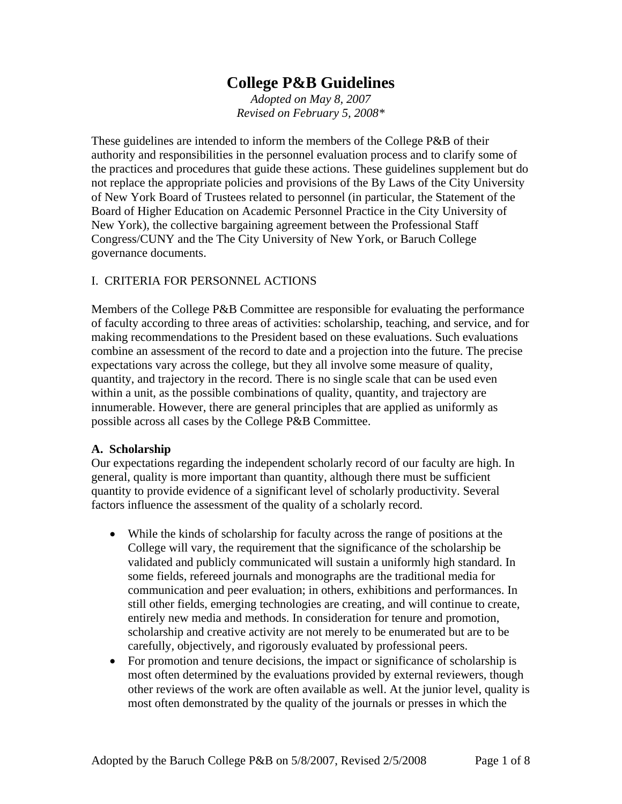# **College P&B Guidelines**

*Adopted on May 8, 2007 Revised on February 5, 2008\** 

These guidelines are intended to inform the members of the College P&B of their authority and responsibilities in the personnel evaluation process and to clarify some of the practices and procedures that guide these actions. These guidelines supplement but do not replace the appropriate policies and provisions of the By Laws of the City University of New York Board of Trustees related to personnel (in particular, the Statement of the Board of Higher Education on Academic Personnel Practice in the City University of New York), the collective bargaining agreement between the Professional Staff Congress/CUNY and the The City University of New York, or Baruch College governance documents.

#### I. CRITERIA FOR PERSONNEL ACTIONS

Members of the College P&B Committee are responsible for evaluating the performance of faculty according to three areas of activities: scholarship, teaching, and service, and for making recommendations to the President based on these evaluations. Such evaluations combine an assessment of the record to date and a projection into the future. The precise expectations vary across the college, but they all involve some measure of quality, quantity, and trajectory in the record. There is no single scale that can be used even within a unit, as the possible combinations of quality, quantity, and trajectory are innumerable. However, there are general principles that are applied as uniformly as possible across all cases by the College P&B Committee.

#### **A. Scholarship**

Our expectations regarding the independent scholarly record of our faculty are high. In general, quality is more important than quantity, although there must be sufficient quantity to provide evidence of a significant level of scholarly productivity. Several factors influence the assessment of the quality of a scholarly record.

- While the kinds of scholarship for faculty across the range of positions at the College will vary, the requirement that the significance of the scholarship be validated and publicly communicated will sustain a uniformly high standard. In some fields, refereed journals and monographs are the traditional media for communication and peer evaluation; in others, exhibitions and performances. In still other fields, emerging technologies are creating, and will continue to create, entirely new media and methods. In consideration for tenure and promotion, scholarship and creative activity are not merely to be enumerated but are to be carefully, objectively, and rigorously evaluated by professional peers.
- For promotion and tenure decisions, the impact or significance of scholarship is most often determined by the evaluations provided by external reviewers, though other reviews of the work are often available as well. At the junior level, quality is most often demonstrated by the quality of the journals or presses in which the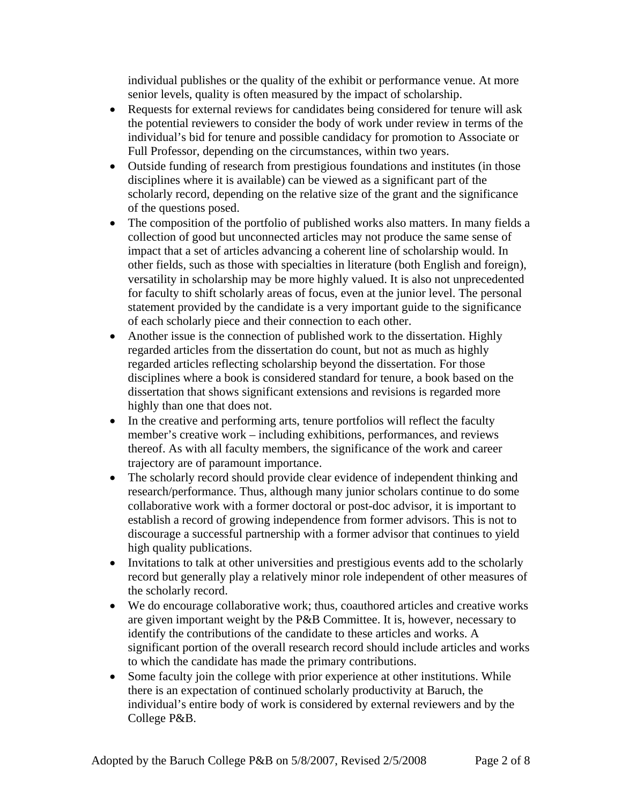individual publishes or the quality of the exhibit or performance venue. At more senior levels, quality is often measured by the impact of scholarship.

- Requests for external reviews for candidates being considered for tenure will ask the potential reviewers to consider the body of work under review in terms of the individual's bid for tenure and possible candidacy for promotion to Associate or Full Professor, depending on the circumstances, within two years.
- Outside funding of research from prestigious foundations and institutes (in those disciplines where it is available) can be viewed as a significant part of the scholarly record, depending on the relative size of the grant and the significance of the questions posed.
- The composition of the portfolio of published works also matters. In many fields a collection of good but unconnected articles may not produce the same sense of impact that a set of articles advancing a coherent line of scholarship would. In other fields, such as those with specialties in literature (both English and foreign), versatility in scholarship may be more highly valued. It is also not unprecedented for faculty to shift scholarly areas of focus, even at the junior level. The personal statement provided by the candidate is a very important guide to the significance of each scholarly piece and their connection to each other.
- Another issue is the connection of published work to the dissertation. Highly regarded articles from the dissertation do count, but not as much as highly regarded articles reflecting scholarship beyond the dissertation. For those disciplines where a book is considered standard for tenure, a book based on the dissertation that shows significant extensions and revisions is regarded more highly than one that does not.
- In the creative and performing arts, tenure portfolios will reflect the faculty member's creative work – including exhibitions, performances, and reviews thereof. As with all faculty members, the significance of the work and career trajectory are of paramount importance.
- The scholarly record should provide clear evidence of independent thinking and research/performance. Thus, although many junior scholars continue to do some collaborative work with a former doctoral or post-doc advisor, it is important to establish a record of growing independence from former advisors. This is not to discourage a successful partnership with a former advisor that continues to yield high quality publications.
- Invitations to talk at other universities and prestigious events add to the scholarly record but generally play a relatively minor role independent of other measures of the scholarly record.
- We do encourage collaborative work; thus, coauthored articles and creative works are given important weight by the P&B Committee. It is, however, necessary to identify the contributions of the candidate to these articles and works. A significant portion of the overall research record should include articles and works to which the candidate has made the primary contributions.
- Some faculty join the college with prior experience at other institutions. While there is an expectation of continued scholarly productivity at Baruch, the individual's entire body of work is considered by external reviewers and by the College P&B.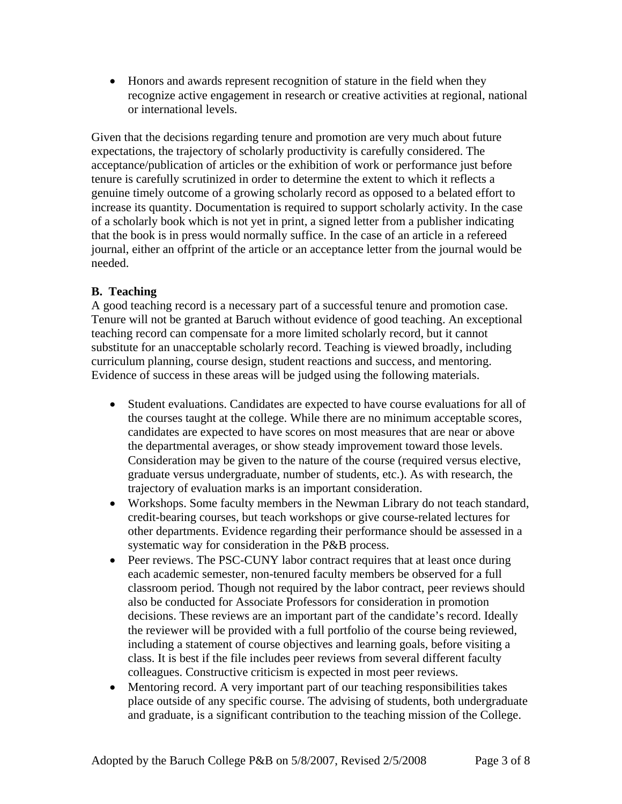• Honors and awards represent recognition of stature in the field when they recognize active engagement in research or creative activities at regional, national or international levels.

Given that the decisions regarding tenure and promotion are very much about future expectations, the trajectory of scholarly productivity is carefully considered. The acceptance/publication of articles or the exhibition of work or performance just before tenure is carefully scrutinized in order to determine the extent to which it reflects a genuine timely outcome of a growing scholarly record as opposed to a belated effort to increase its quantity. Documentation is required to support scholarly activity. In the case of a scholarly book which is not yet in print, a signed letter from a publisher indicating that the book is in press would normally suffice. In the case of an article in a refereed journal, either an offprint of the article or an acceptance letter from the journal would be needed.

## **B. Teaching**

A good teaching record is a necessary part of a successful tenure and promotion case. Tenure will not be granted at Baruch without evidence of good teaching. An exceptional teaching record can compensate for a more limited scholarly record, but it cannot substitute for an unacceptable scholarly record. Teaching is viewed broadly, including curriculum planning, course design, student reactions and success, and mentoring. Evidence of success in these areas will be judged using the following materials.

- Student evaluations. Candidates are expected to have course evaluations for all of the courses taught at the college. While there are no minimum acceptable scores, candidates are expected to have scores on most measures that are near or above the departmental averages, or show steady improvement toward those levels. Consideration may be given to the nature of the course (required versus elective, graduate versus undergraduate, number of students, etc.). As with research, the trajectory of evaluation marks is an important consideration.
- Workshops. Some faculty members in the Newman Library do not teach standard, credit-bearing courses, but teach workshops or give course-related lectures for other departments. Evidence regarding their performance should be assessed in a systematic way for consideration in the P&B process.
- Peer reviews. The PSC-CUNY labor contract requires that at least once during each academic semester, non-tenured faculty members be observed for a full classroom period. Though not required by the labor contract, peer reviews should also be conducted for Associate Professors for consideration in promotion decisions. These reviews are an important part of the candidate's record. Ideally the reviewer will be provided with a full portfolio of the course being reviewed, including a statement of course objectives and learning goals, before visiting a class. It is best if the file includes peer reviews from several different faculty colleagues. Constructive criticism is expected in most peer reviews.
- Mentoring record. A very important part of our teaching responsibilities takes place outside of any specific course. The advising of students, both undergraduate and graduate, is a significant contribution to the teaching mission of the College.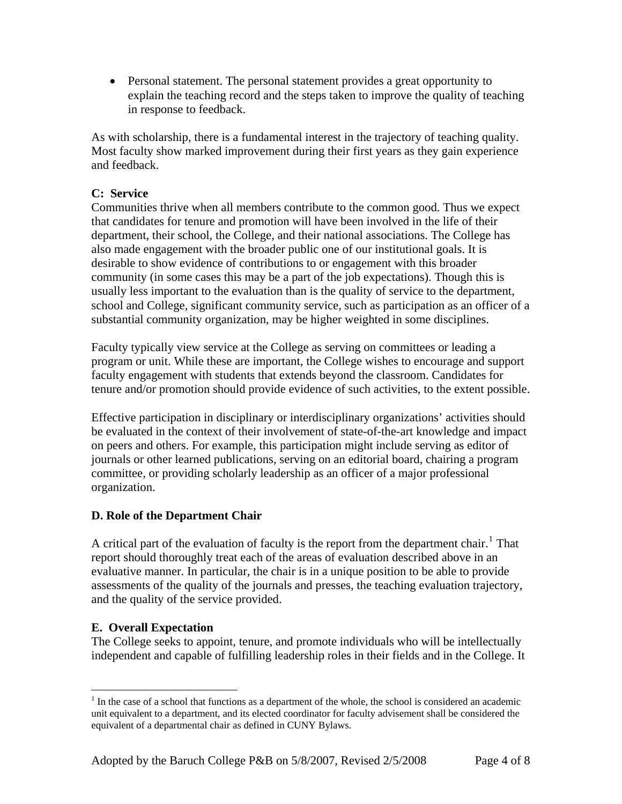• Personal statement. The personal statement provides a great opportunity to explain the teaching record and the steps taken to improve the quality of teaching in response to feedback.

As with scholarship, there is a fundamental interest in the trajectory of teaching quality. Most faculty show marked improvement during their first years as they gain experience and feedback.

#### **C: Service**

Communities thrive when all members contribute to the common good. Thus we expect that candidates for tenure and promotion will have been involved in the life of their department, their school, the College, and their national associations. The College has also made engagement with the broader public one of our institutional goals. It is desirable to show evidence of contributions to or engagement with this broader community (in some cases this may be a part of the job expectations). Though this is usually less important to the evaluation than is the quality of service to the department, school and College, significant community service, such as participation as an officer of a substantial community organization, may be higher weighted in some disciplines.

Faculty typically view service at the College as serving on committees or leading a program or unit. While these are important, the College wishes to encourage and support faculty engagement with students that extends beyond the classroom. Candidates for tenure and/or promotion should provide evidence of such activities, to the extent possible.

Effective participation in disciplinary or interdisciplinary organizations' activities should be evaluated in the context of their involvement of state-of-the-art knowledge and impact on peers and others. For example, this participation might include serving as editor of journals or other learned publications, serving on an editorial board, chairing a program committee, or providing scholarly leadership as an officer of a major professional organization.

## **D. Role of the Department Chair**

A critical part of the evaluation of faculty is the report from the department chair.<sup>[1](#page-3-0)</sup> That report should thoroughly treat each of the areas of evaluation described above in an evaluative manner. In particular, the chair is in a unique position to be able to provide assessments of the quality of the journals and presses, the teaching evaluation trajectory, and the quality of the service provided.

## **E. Overall Expectation**

 $\overline{a}$ 

The College seeks to appoint, tenure, and promote individuals who will be intellectually independent and capable of fulfilling leadership roles in their fields and in the College. It

<span id="page-3-0"></span> $<sup>1</sup>$  In the case of a school that functions as a department of the whole, the school is considered an academic</sup> unit equivalent to a department, and its elected coordinator for faculty advisement shall be considered the equivalent of a departmental chair as defined in CUNY Bylaws.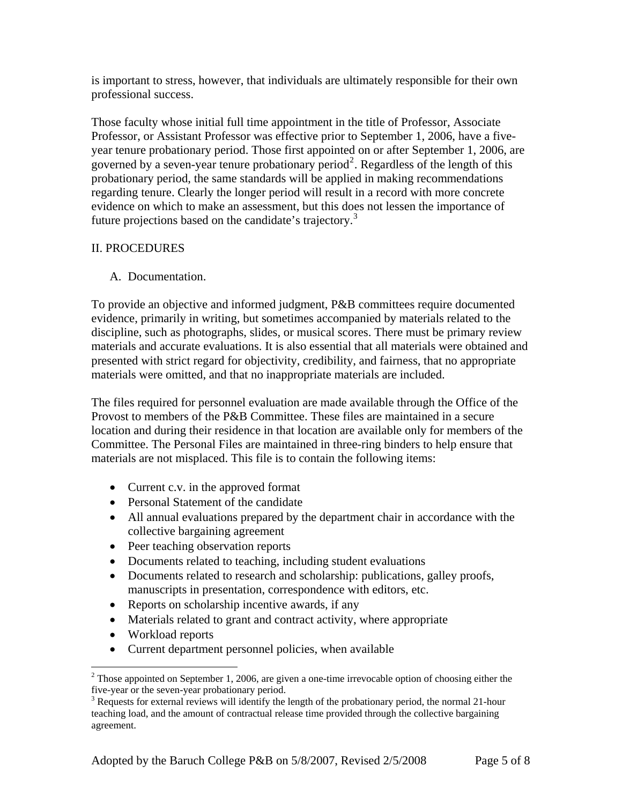is important to stress, however, that individuals are ultimately responsible for their own professional success.

Those faculty whose initial full time appointment in the title of Professor, Associate Professor, or Assistant Professor was effective prior to September 1, 2006, have a fiveyear tenure probationary period. Those first appointed on or after September 1, 2006, are governed by a seven-year tenure probationary period<sup>[2](#page-4-0)</sup>. Regardless of the length of this probationary period, the same standards will be applied in making recommendations regarding tenure. Clearly the longer period will result in a record with more concrete evidence on which to make an assessment, but this does not lessen the importance of future projections based on the candidate's trajectory.<sup>[3](#page-4-1)</sup>

## II. PROCEDURES

## A. Documentation.

To provide an objective and informed judgment, P&B committees require documented evidence, primarily in writing, but sometimes accompanied by materials related to the discipline, such as photographs, slides, or musical scores. There must be primary review materials and accurate evaluations. It is also essential that all materials were obtained and presented with strict regard for objectivity, credibility, and fairness, that no appropriate materials were omitted, and that no inappropriate materials are included.

The files required for personnel evaluation are made available through the Office of the Provost to members of the P&B Committee. These files are maintained in a secure location and during their residence in that location are available only for members of the Committee. The Personal Files are maintained in three-ring binders to help ensure that materials are not misplaced. This file is to contain the following items:

- Current c.v. in the approved format
- Personal Statement of the candidate
- All annual evaluations prepared by the department chair in accordance with the collective bargaining agreement
- Peer teaching observation reports
- Documents related to teaching, including student evaluations
- Documents related to research and scholarship: publications, galley proofs, manuscripts in presentation, correspondence with editors, etc.
- Reports on scholarship incentive awards, if any
- Materials related to grant and contract activity, where appropriate
- Workload reports

1

• Current department personnel policies, when available

<span id="page-4-0"></span> $2^2$  Those appointed on September 1, 2006, are given a one-time irrevocable option of choosing either the five-year or the seven-year probationary period.

<span id="page-4-1"></span> $3$  Requests for external reviews will identify the length of the probationary period, the normal 21-hour teaching load, and the amount of contractual release time provided through the collective bargaining agreement.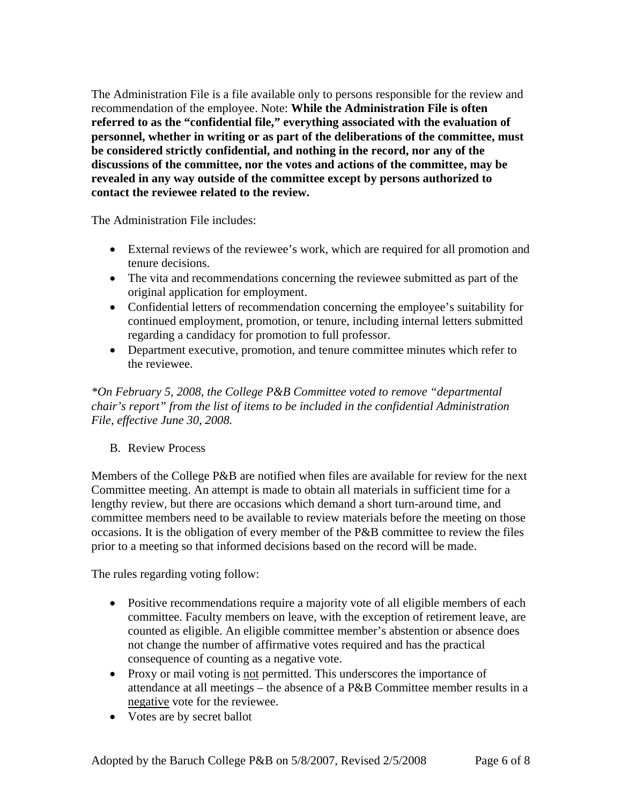The Administration File is a file available only to persons responsible for the review and recommendation of the employee. Note: **While the Administration File is often referred to as the "confidential file," everything associated with the evaluation of personnel, whether in writing or as part of the deliberations of the committee, must be considered strictly confidential, and nothing in the record, nor any of the discussions of the committee, nor the votes and actions of the committee, may be revealed in any way outside of the committee except by persons authorized to contact the reviewee related to the review.**

The Administration File includes:

- External reviews of the reviewee's work, which are required for all promotion and tenure decisions.
- The vita and recommendations concerning the reviewee submitted as part of the original application for employment.
- Confidential letters of recommendation concerning the employee's suitability for continued employment, promotion, or tenure, including internal letters submitted regarding a candidacy for promotion to full professor.
- Department executive, promotion, and tenure committee minutes which refer to the reviewee.

*\*On February 5, 2008, the College P&B Committee voted to remove "departmental chair's report" from the list of items to be included in the confidential Administration File, effective June 30, 2008.* 

## B. Review Process

Members of the College P&B are notified when files are available for review for the next Committee meeting. An attempt is made to obtain all materials in sufficient time for a lengthy review, but there are occasions which demand a short turn-around time, and committee members need to be available to review materials before the meeting on those occasions. It is the obligation of every member of the P&B committee to review the files prior to a meeting so that informed decisions based on the record will be made.

The rules regarding voting follow:

- Positive recommendations require a majority vote of all eligible members of each committee. Faculty members on leave, with the exception of retirement leave, are counted as eligible. An eligible committee member's abstention or absence does not change the number of affirmative votes required and has the practical consequence of counting as a negative vote.
- Proxy or mail voting is not permitted. This underscores the importance of attendance at all meetings – the absence of a P&B Committee member results in a negative vote for the reviewee.
- Votes are by secret ballot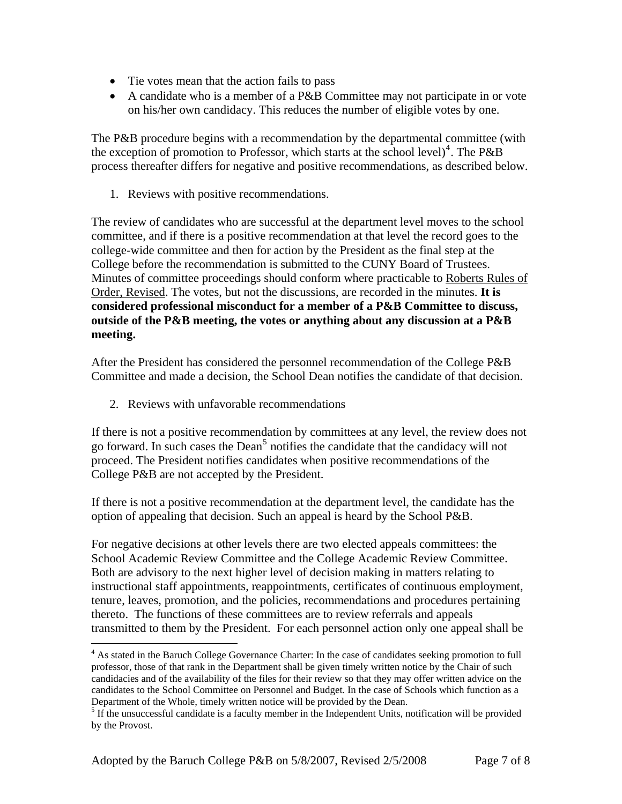- Tie votes mean that the action fails to pass
- A candidate who is a member of a P&B Committee may not participate in or vote on his/her own candidacy. This reduces the number of eligible votes by one.

The P&B procedure begins with a recommendation by the departmental committee (with the exception of promotion to Professor, which starts at the school level)<sup>[4](#page-6-0)</sup>. The P&B process thereafter differs for negative and positive recommendations, as described below.

1. Reviews with positive recommendations.

The review of candidates who are successful at the department level moves to the school committee, and if there is a positive recommendation at that level the record goes to the college-wide committee and then for action by the President as the final step at the College before the recommendation is submitted to the CUNY Board of Trustees. Minutes of committee proceedings should conform where practicable to Roberts Rules of Order, Revised. The votes, but not the discussions, are recorded in the minutes. **It is considered professional misconduct for a member of a P&B Committee to discuss, outside of the P&B meeting, the votes or anything about any discussion at a P&B meeting.**

After the President has considered the personnel recommendation of the College P&B Committee and made a decision, the School Dean notifies the candidate of that decision.

2. Reviews with unfavorable recommendations

<u>.</u>

If there is not a positive recommendation by committees at any level, the review does not go forward. In such cases the Dean<sup>[5](#page-6-1)</sup> notifies the candidate that the candidacy will not proceed. The President notifies candidates when positive recommendations of the College P&B are not accepted by the President.

If there is not a positive recommendation at the department level, the candidate has the option of appealing that decision. Such an appeal is heard by the School P&B.

For negative decisions at other levels there are two elected appeals committees: the School Academic Review Committee and the College Academic Review Committee. Both are advisory to the next higher level of decision making in matters relating to instructional staff appointments, reappointments, certificates of continuous employment, tenure, leaves, promotion, and the policies, recommendations and procedures pertaining thereto. The functions of these committees are to review referrals and appeals transmitted to them by the President. For each personnel action only one appeal shall be

<span id="page-6-0"></span><sup>&</sup>lt;sup>4</sup> As stated in the Baruch College Governance Charter: In the case of candidates seeking promotion to full professor, those of that rank in the Department shall be given timely written notice by the Chair of such candidacies and of the availability of the files for their review so that they may offer written advice on the candidates to the School Committee on Personnel and Budget. In the case of Schools which function as a Department of the Whole, timely written notice will be provided by the Dean.

<span id="page-6-1"></span><sup>&</sup>lt;sup>5</sup> If the unsuccessful candidate is a faculty member in the Independent Units, notification will be provided by the Provost.